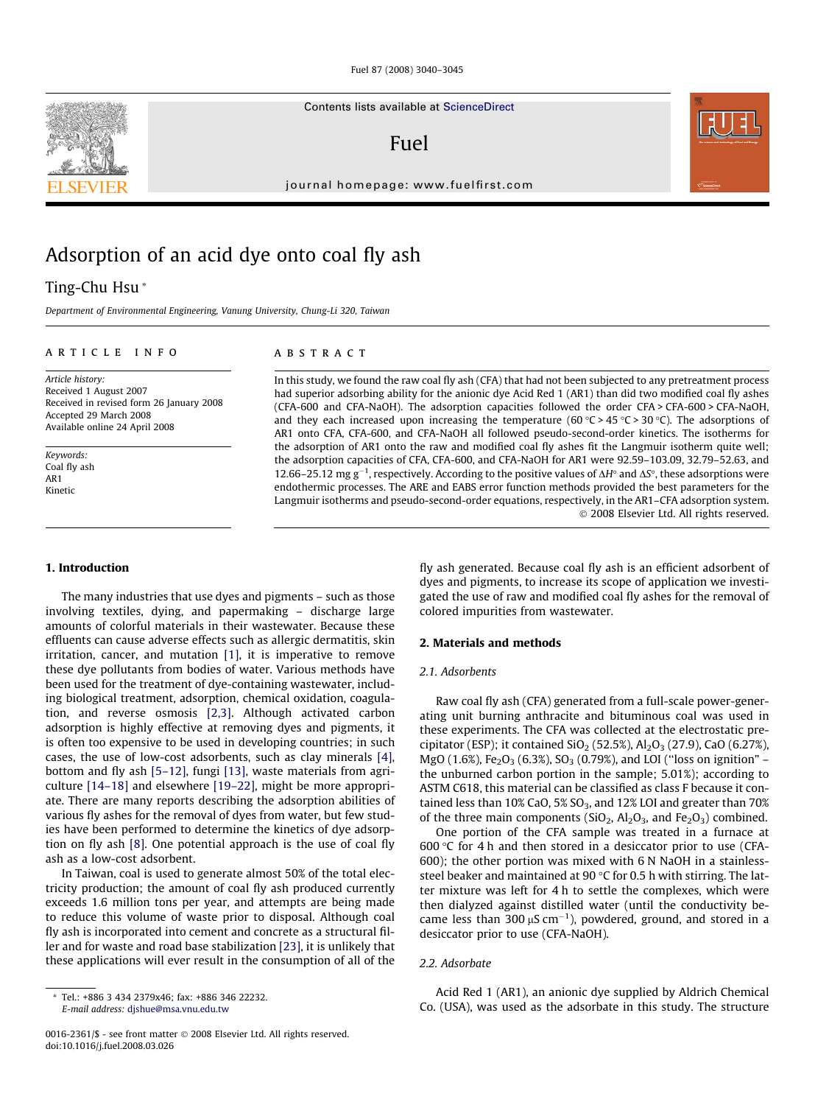Contents lists available at [ScienceDirect](http://www.sciencedirect.com/science/journal/00162361)

## Fuel

journal homepage: [www.fuelfirst.com](http://www.fuelfirst.com)



# Adsorption of an acid dye onto coal fly ash

## Ting-Chu Hsu \*

Department of Environmental Engineering, Vanung University, Chung-Li 320, Taiwan

## article info

Article history: Received 1 August 2007 Received in revised form 26 January 2008 Accepted 29 March 2008 Available online 24 April 2008

Keywords: Coal fly ash AR1 Kinetic

#### 1. Introduction

The many industries that use dyes and pigments – such as those involving textiles, dying, and papermaking – discharge large amounts of colorful materials in their wastewater. Because these effluents can cause adverse effects such as allergic dermatitis, skin irritation, cancer, and mutation [\[1\],](#page-5-0) it is imperative to remove these dye pollutants from bodies of water. Various methods have been used for the treatment of dye-containing wastewater, including biological treatment, adsorption, chemical oxidation, coagulation, and reverse osmosis [\[2,3\]](#page-5-0). Although activated carbon adsorption is highly effective at removing dyes and pigments, it is often too expensive to be used in developing countries; in such cases, the use of low-cost adsorbents, such as clay minerals [\[4\],](#page-5-0) bottom and fly ash [\[5–12\],](#page-5-0) fungi [\[13\]](#page-5-0), waste materials from agriculture [\[14–18\]](#page-5-0) and elsewhere [\[19–22\]](#page-5-0), might be more appropriate. There are many reports describing the adsorption abilities of various fly ashes for the removal of dyes from water, but few studies have been performed to determine the kinetics of dye adsorption on fly ash [\[8\].](#page-5-0) One potential approach is the use of coal fly ash as a low-cost adsorbent.

In Taiwan, coal is used to generate almost 50% of the total electricity production; the amount of coal fly ash produced currently exceeds 1.6 million tons per year, and attempts are being made to reduce this volume of waste prior to disposal. Although coal fly ash is incorporated into cement and concrete as a structural filler and for waste and road base stabilization [\[23\]](#page-5-0), it is unlikely that these applications will ever result in the consumption of all of the

## ABSTRACT

In this study, we found the raw coal fly ash (CFA) that had not been subjected to any pretreatment process had superior adsorbing ability for the anionic dye Acid Red 1 (AR1) than did two modified coal fly ashes (CFA-600 and CFA-NaOH). The adsorption capacities followed the order CFA > CFA-600 > CFA-NaOH, and they each increased upon increasing the temperature (60  $\degree$ C > 45  $\degree$ C > 30  $\degree$ C). The adsorptions of AR1 onto CFA, CFA-600, and CFA-NaOH all followed pseudo-second-order kinetics. The isotherms for the adsorption of AR1 onto the raw and modified coal fly ashes fit the Langmuir isotherm quite well; the adsorption capacities of CFA, CFA-600, and CFA-NaOH for AR1 were 92.59–103.09, 32.79–52.63, and 12.66–25.12 mg g<sup>-1</sup>, respectively. According to the positive values of  $\Delta H^{\circ}$  and  $\Delta S^{\circ}$ , these adsorptions were endothermic processes. The ARE and EABS error function methods provided the best parameters for the Langmuir isotherms and pseudo-second-order equations, respectively, in the AR1–CFA adsorption system. 2008 Elsevier Ltd. All rights reserved.

> fly ash generated. Because coal fly ash is an efficient adsorbent of dyes and pigments, to increase its scope of application we investigated the use of raw and modified coal fly ashes for the removal of colored impurities from wastewater.

## 2. Materials and methods

## 2.1. Adsorbents

Raw coal fly ash (CFA) generated from a full-scale power-generating unit burning anthracite and bituminous coal was used in these experiments. The CFA was collected at the electrostatic precipitator (ESP); it contained  $SiO_2$  (52.5%),  $Al_2O_3$  (27.9), CaO (6.27%), MgO (1.6%), Fe<sub>2</sub>O<sub>3</sub> (6.3%), SO<sub>3</sub> (0.79%), and LOI ("loss on ignition" – the unburned carbon portion in the sample; 5.01%); according to ASTM C618, this material can be classified as class F because it contained less than  $10\%$  CaO,  $5\%$  SO<sub>3</sub>, and  $12\%$  LOI and greater than  $70\%$ of the three main components  $(SiO<sub>2</sub>, Al<sub>2</sub>O<sub>3</sub>, and Fe<sub>2</sub>O<sub>3</sub>)$  combined.

One portion of the CFA sample was treated in a furnace at 600  $\degree$ C for 4 h and then stored in a desiccator prior to use (CFA-600); the other portion was mixed with 6 N NaOH in a stainlesssteel beaker and maintained at  $90 °C$  for 0.5 h with stirring. The latter mixture was left for 4 h to settle the complexes, which were then dialyzed against distilled water (until the conductivity became less than 300  $\mu$ S cm<sup>-1</sup>), powdered, ground, and stored in a desiccator prior to use (CFA-NaOH).

## 2.2. Adsorbate

Acid Red 1 (AR1), an anionic dye supplied by Aldrich Chemical Co. (USA), was used as the adsorbate in this study. The structure



<sup>\*</sup> Tel.: +886 3 434 2379x46; fax: +886 346 22232. E-mail address: [djshue@msa.vnu.edu.tw](mailto:djshue@msa.vnu.edu.tw)

<sup>0016-2361/\$ -</sup> see front matter © 2008 Elsevier Ltd. All rights reserved. doi:10.1016/j.fuel.2008.03.026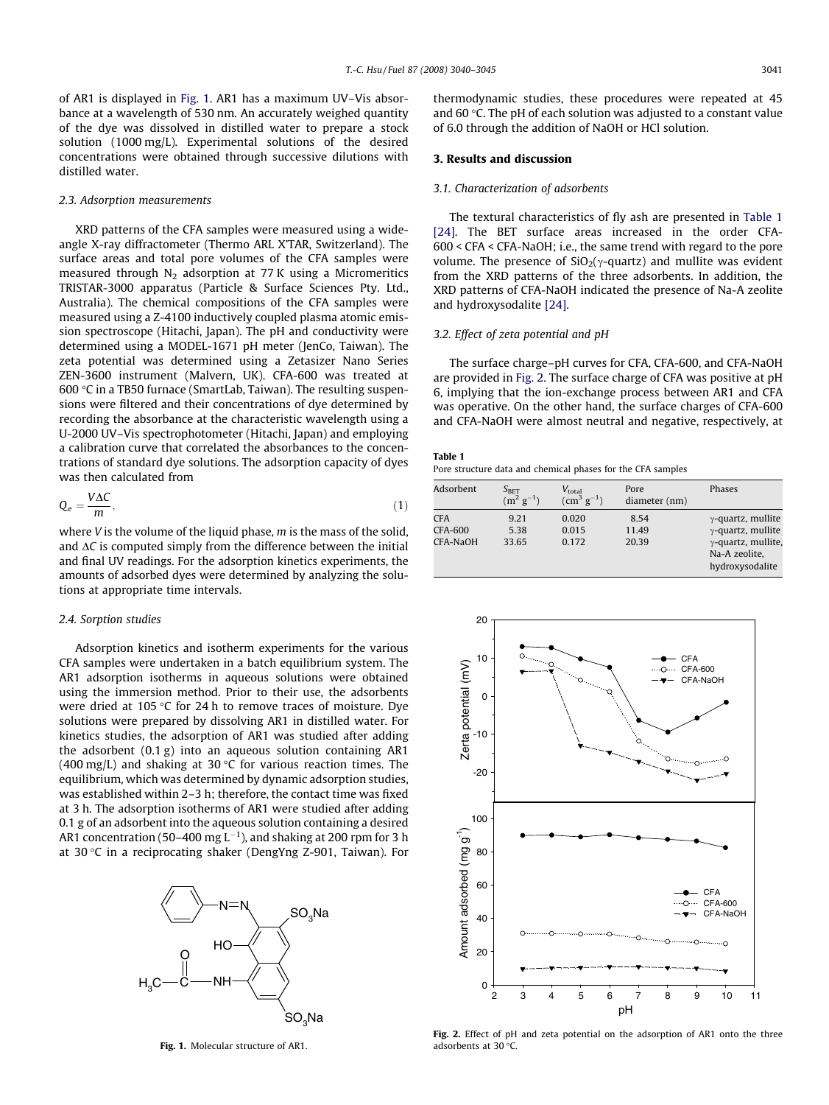<span id="page-1-0"></span>of AR1 is displayed in Fig. 1. AR1 has a maximum UV–Vis absorbance at a wavelength of 530 nm. An accurately weighed quantity of the dye was dissolved in distilled water to prepare a stock solution (1000 mg/L). Experimental solutions of the desired concentrations were obtained through successive dilutions with distilled water.

#### 2.3. Adsorption measurements

XRD patterns of the CFA samples were measured using a wideangle X-ray diffractometer (Thermo ARL X'TAR, Switzerland). The surface areas and total pore volumes of the CFA samples were measured through  $N_2$  adsorption at 77 K using a Micromeritics TRISTAR-3000 apparatus (Particle & Surface Sciences Pty. Ltd., Australia). The chemical compositions of the CFA samples were measured using a Z-4100 inductively coupled plasma atomic emission spectroscope (Hitachi, Japan). The pH and conductivity were determined using a MODEL-1671 pH meter (JenCo, Taiwan). The zeta potential was determined using a Zetasizer Nano Series ZEN-3600 instrument (Malvern, UK). CFA-600 was treated at 600 °C in a TB50 furnace (SmartLab, Taiwan). The resulting suspensions were filtered and their concentrations of dye determined by recording the absorbance at the characteristic wavelength using a U-2000 UV–Vis spectrophotometer (Hitachi, Japan) and employing a calibration curve that correlated the absorbances to the concentrations of standard dye solutions. The adsorption capacity of dyes was then calculated from

$$
Q_e = \frac{V\Delta C}{m},\tag{1}
$$

where  $V$  is the volume of the liquid phase,  $m$  is the mass of the solid, and  $\Delta C$  is computed simply from the difference between the initial and final UV readings. For the adsorption kinetics experiments, the amounts of adsorbed dyes were determined by analyzing the solutions at appropriate time intervals.

#### 2.4. Sorption studies

Adsorption kinetics and isotherm experiments for the various CFA samples were undertaken in a batch equilibrium system. The AR1 adsorption isotherms in aqueous solutions were obtained using the immersion method. Prior to their use, the adsorbents were dried at 105 °C for 24 h to remove traces of moisture. Dye solutions were prepared by dissolving AR1 in distilled water. For kinetics studies, the adsorption of AR1 was studied after adding the adsorbent (0.1 g) into an aqueous solution containing AR1 (400 mg/L) and shaking at 30 °C for various reaction times. The equilibrium, which was determined by dynamic adsorption studies, was established within 2–3 h; therefore, the contact time was fixed at 3 h. The adsorption isotherms of AR1 were studied after adding 0.1 g of an adsorbent into the aqueous solution containing a desired AR1 concentration (50–400 mg L $^{-1}$ ), and shaking at 200 rpm for 3 h at 30 °C in a reciprocating shaker (DengYng Z-901, Taiwan). For



Fig. 1. Molecular structure of AR1.

thermodynamic studies, these procedures were repeated at 45 and 60 °C. The pH of each solution was adjusted to a constant value of 6.0 through the addition of NaOH or HCl solution.

## 3. Results and discussion

## 3.1. Characterization of adsorbents

The textural characteristics of fly ash are presented in Table 1 [\[24\]](#page-5-0). The BET surface areas increased in the order CFA-600 < CFA < CFA-NaOH; i.e., the same trend with regard to the pore volume. The presence of  $SiO<sub>2</sub>(\gamma$ -quartz) and mullite was evident from the XRD patterns of the three adsorbents. In addition, the XRD patterns of CFA-NaOH indicated the presence of Na-A zeolite and hydroxysodalite [\[24\]](#page-5-0).

#### 3.2. Effect of zeta potential and pH

The surface charge–pH curves for CFA, CFA-600, and CFA-NaOH are provided in Fig. 2. The surface charge of CFA was positive at pH 6, implying that the ion-exchange process between AR1 and CFA was operative. On the other hand, the surface charges of CFA-600 and CFA-NaOH were almost neutral and negative, respectively, at

#### Table 1

Pore structure data and chemical phases for the CFA samples

| Adsorbent                                | $S_{\tt BET}$<br>$(m^2 g^{-1})$ | $V_{\text{total}}$<br>$\rm (cm^3 \ g^{-1})$ | Pore<br>diameter (nm)  | Phases                                                                                                                   |
|------------------------------------------|---------------------------------|---------------------------------------------|------------------------|--------------------------------------------------------------------------------------------------------------------------|
| <b>CFA</b><br><b>CFA-600</b><br>CFA-NaOH | 9.21<br>5.38<br>33.65           | 0.020<br>0.015<br>0.172                     | 8.54<br>11.49<br>20.39 | $\gamma$ -quartz, mullite<br>$\gamma$ -quartz, mullite<br>$\gamma$ -quartz, mullite,<br>Na-A zeolite.<br>hydroxysodalite |



Fig. 2. Effect of pH and zeta potential on the adsorption of AR1 onto the three adsorbents at 30  $^{\circ}$ C.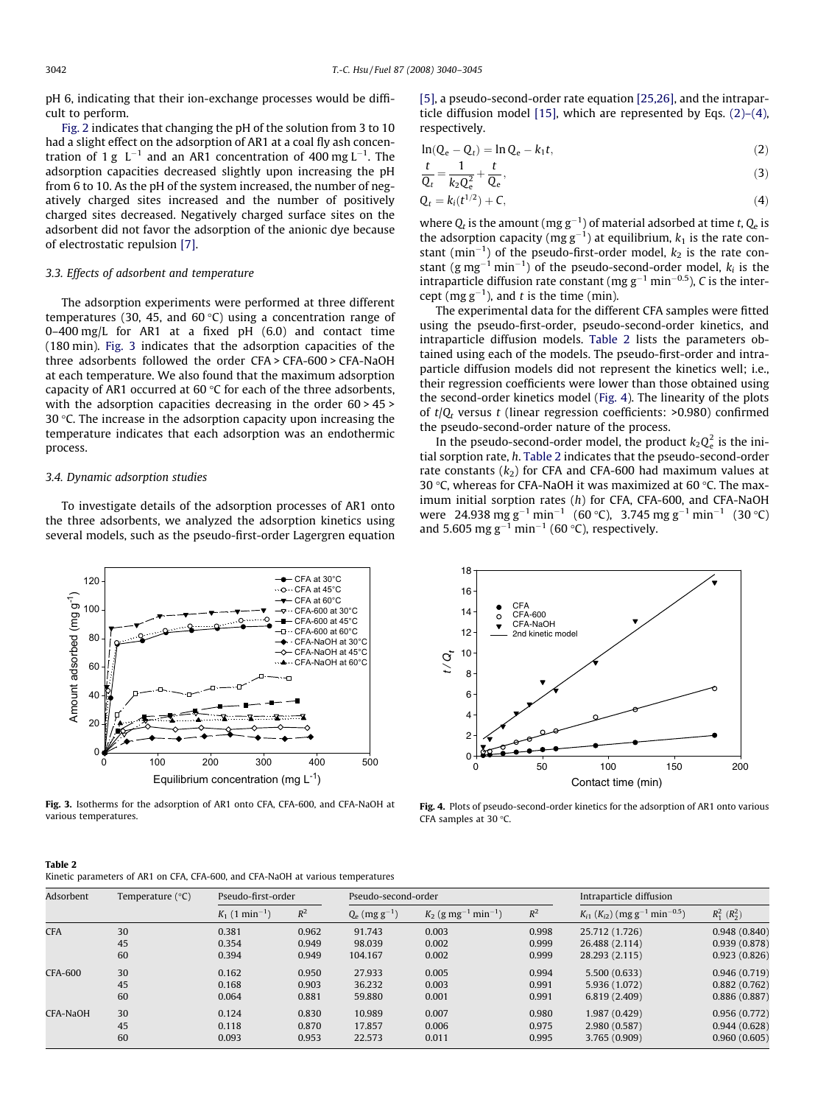pH 6, indicating that their ion-exchange processes would be difficult to perform.

[Fig. 2](#page-1-0) indicates that changing the pH of the solution from 3 to 10 had a slight effect on the adsorption of AR1 at a coal fly ash concentration of 1 g  $\,$  L $^{-1}$  and an AR1 concentration of 400 mg L $^{-1}$ . The adsorption capacities decreased slightly upon increasing the pH from 6 to 10. As the pH of the system increased, the number of negatively charged sites increased and the number of positively charged sites decreased. Negatively charged surface sites on the adsorbent did not favor the adsorption of the anionic dye because of electrostatic repulsion [\[7\]](#page-5-0).

## 3.3. Effects of adsorbent and temperature

The adsorption experiments were performed at three different temperatures (30, 45, and 60 °C) using a concentration range of 0–400 mg/L for AR1 at a fixed pH (6.0) and contact time (180 min). Fig. 3 indicates that the adsorption capacities of the three adsorbents followed the order CFA > CFA-600 > CFA-NaOH at each temperature. We also found that the maximum adsorption capacity of AR1 occurred at 60 °C for each of the three adsorbents, with the adsorption capacities decreasing in the order 60 > 45 > 30 °C. The increase in the adsorption capacity upon increasing the temperature indicates that each adsorption was an endothermic process.

#### 3.4. Dynamic adsorption studies

To investigate details of the adsorption processes of AR1 onto the three adsorbents, we analyzed the adsorption kinetics using several models, such as the pseudo-first-order Lagergren equation



Fig. 3. Isotherms for the adsorption of AR1 onto CFA, CFA-600, and CFA-NaOH at various temperatures.

| [5], a pseudo-second-order rate equation [25,26], and the intrapar-   |
|-----------------------------------------------------------------------|
| ticle diffusion model [15], which are represented by Eqs. $(2)-(4)$ , |
| respectively.                                                         |

$$
\ln(Q_e - Q_t) = \ln Q_e - k_1 t,\tag{2}
$$

$$
\frac{t}{Q_t} = \frac{1}{k_2 Q_e^2} + \frac{t}{Q_e},
$$
\n(3)

$$
Q_t = k_i(t^{1/2}) + C,\tag{4}
$$

where  $Q_t$  is the amount (mg  $g^{-1}$ ) of material adsorbed at time t,  $Q_e$  is the adsorption capacity (mg  $g^{-1}$ ) at equilibrium,  $k_1$  is the rate constant ( $min^{-1}$ ) of the pseudo-first-order model,  $k_2$  is the rate constant (g mg<sup>-1</sup> min<sup>-1</sup>) of the pseudo-second-order model,  $k_i$  is the intraparticle diffusion rate constant (mg  $g^{-1}$  min<sup>-0.5</sup>), C is the intercept (mg  $g^{-1}$ ), and t is the time (min).

The experimental data for the different CFA samples were fitted using the pseudo-first-order, pseudo-second-order kinetics, and intraparticle diffusion models. Table 2 lists the parameters obtained using each of the models. The pseudo-first-order and intraparticle diffusion models did not represent the kinetics well; i.e., their regression coefficients were lower than those obtained using the second-order kinetics model (Fig. 4). The linearity of the plots of  $t/Q_t$  versus t (linear regression coefficients:  $>0.980$ ) confirmed the pseudo-second-order nature of the process.

In the pseudo-second-order model, the product  $k_2 Q_e^2$  is the initial sorption rate, h. Table 2 indicates that the pseudo-second-order rate constants  $(k_2)$  for CFA and CFA-600 had maximum values at 30 °C, whereas for CFA-NaOH it was maximized at 60 °C. The maximum initial sorption rates (h) for CFA, CFA-600, and CFA-NaOH were 24.938 mg g<sup>-1</sup> min<sup>-1</sup> (60 °C), 3.745 mg g<sup>-1</sup> min<sup>-1</sup> (30 °C) and 5.605 mg  $g^{-1}$  min<sup>-1</sup> (60 °C), respectively.



Fig. 4. Plots of pseudo-second-order kinetics for the adsorption of AR1 onto various CFA samples at 30 $\,^{\circ}$ C.

| Adsorbent      | Temperature $(^{\circ}C)$ |                              | Pseudo-first-order |                             | Pseudo-second-order                           | Intraparticle diffusion |                                                                 |                     |
|----------------|---------------------------|------------------------------|--------------------|-----------------------------|-----------------------------------------------|-------------------------|-----------------------------------------------------------------|---------------------|
|                |                           | $K_1$ (1 min <sup>-1</sup> ) | $R^2$              | $Q_e$ (mg g <sup>-1</sup> ) | $K_2$ (g mg <sup>-1</sup> min <sup>-1</sup> ) | $R^2$                   | $K_{i1}$ ( $K_{i2}$ ) (mg g <sup>-1</sup> min <sup>-0.5</sup> ) | $R_1^2$ ( $R_2^2$ ) |
| <b>CFA</b>     | 30                        | 0.381                        | 0.962              | 91.743                      | 0.003                                         | 0.998                   | 25.712 (1.726)                                                  | 0.948(0.840)        |
|                | 45                        | 0.354                        | 0.949              | 98.039                      | 0.002                                         | 0.999                   | 26.488 (2.114)                                                  | 0.939(0.878)        |
|                | 60                        | 0.394                        | 0.949              | 104.167                     | 0.002                                         | 0.999                   | 28.293 (2.115)                                                  | 0.923(0.826)        |
| <b>CFA-600</b> | 30                        | 0.162                        | 0.950              | 27.933                      | 0.005                                         | 0.994                   | 5,500(0.633)                                                    | 0.946(0.719)        |
|                | 45                        | 0.168                        | 0.903              | 36.232                      | 0.003                                         | 0.991                   | 5.936 (1.072)                                                   | 0.882(0.762)        |
|                | 60                        | 0.064                        | 0.881              | 59.880                      | 0.001                                         | 0.991                   | 6.819 (2.409)                                                   | 0.886(0.887)        |
| CFA-NaOH       | 30                        | 0.124                        | 0.830              | 10.989                      | 0.007                                         | 0.980                   | 1.987 (0.429)                                                   | 0.956(0.772)        |
|                | 45                        | 0.118                        | 0.870              | 17.857                      | 0.006                                         | 0.975                   | 2.980 (0.587)                                                   | 0.944(0.628)        |
|                | 60                        | 0.093                        | 0.953              | 22.573                      | 0.011                                         | 0.995                   | 3.765 (0.909)                                                   | 0.960(0.605)        |

Table 2

Kinetic parameters of AR1 on CFA, CFA-600, and CFA-NaOH at various temperatures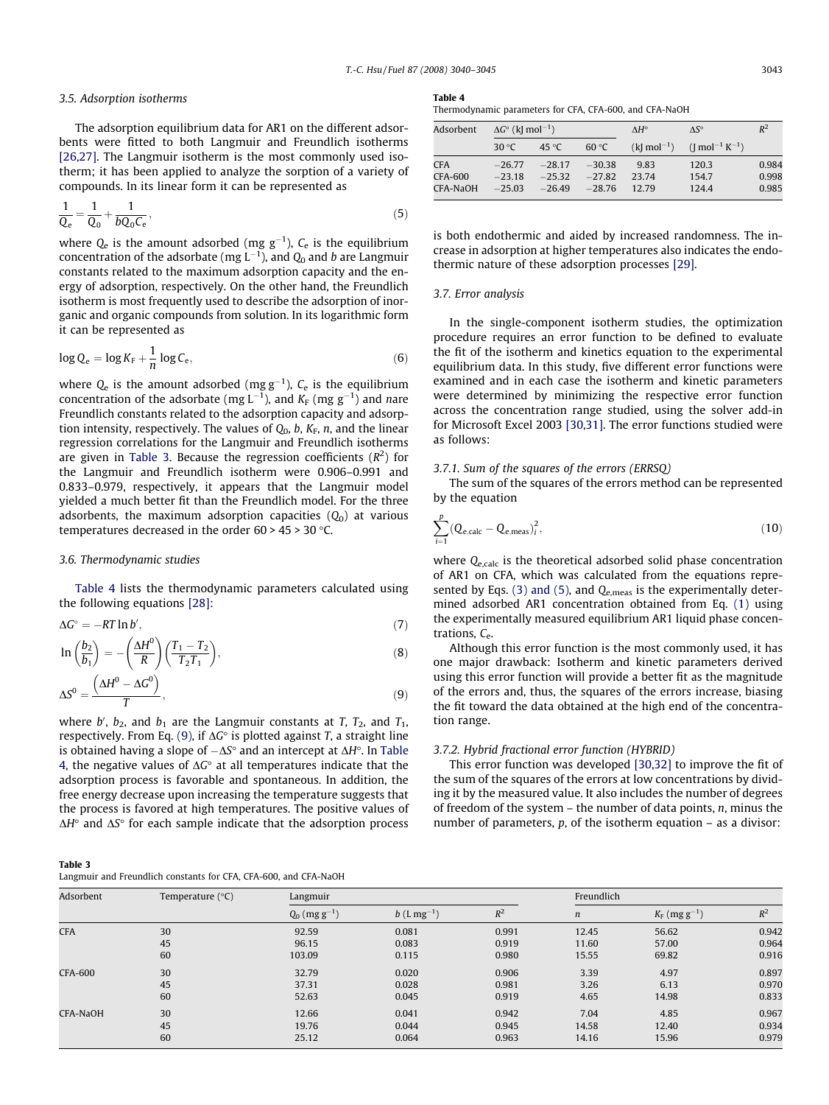#### 3.5. Adsorption isotherms

The adsorption equilibrium data for AR1 on the different adsorbents were fitted to both Langmuir and Freundlich isotherms [\[26,27\]](#page-5-0). The Langmuir isotherm is the most commonly used isotherm; it has been applied to analyze the sorption of a variety of compounds. In its linear form it can be represented as

$$
\frac{1}{Q_e} = \frac{1}{Q_0} + \frac{1}{bQ_0C_e},\tag{5}
$$

where  $Q_{\rm e}$  is the amount adsorbed (mg  ${\rm g}^{-1}$ ),  $\mathcal{C}_{\rm e}$  is the equilibrium concentration of the adsorbate (mg L $^{-1}$ ), and  $Q_0$  and  $b$  are Langmuir constants related to the maximum adsorption capacity and the energy of adsorption, respectively. On the other hand, the Freundlich isotherm is most frequently used to describe the adsorption of inorganic and organic compounds from solution. In its logarithmic form it can be represented as

$$
\log Q_{\rm e} = \log K_{\rm F} + \frac{1}{n} \log C_{\rm e},\tag{6}
$$

where  $Q_e$  is the amount adsorbed (mg  $g^{-1}$ ),  $C_e$  is the equilibrium concentration of the adsorbate (mg L $^{-1}$ ), and  $K_{\rm F}$  (mg g $^{-1}$ ) and *n*are Freundlich constants related to the adsorption capacity and adsorption intensity, respectively. The values of  $Q_0$ , b,  $K_F$ , n, and the linear regression correlations for the Langmuir and Freundlich isotherms are given in Table 3. Because the regression coefficients  $(R<sup>2</sup>)$  for the Langmuir and Freundlich isotherm were 0.906–0.991 and 0.833–0.979, respectively, it appears that the Langmuir model yielded a much better fit than the Freundlich model. For the three adsorbents, the maximum adsorption capacities  $(Q_0)$  at various temperatures decreased in the order 60 > 45 > 30 °C.

### 3.6. Thermodynamic studies

Table 4 lists the thermodynamic parameters calculated using the following equations [\[28\]:](#page-5-0)

$$
\Delta G^{\circ} = -RT \ln b',\tag{7}
$$

$$
\ln\left(\frac{b_2}{b_1}\right) = -\left(\frac{\Delta H^0}{R}\right)\left(\frac{T_1 - T_2}{T_2 T_1}\right),\tag{8}
$$

$$
\Delta S^0 = \frac{\left(\Delta H^0 - \Delta G^0\right)}{T},\tag{9}
$$

where b',  $b_2$ , and  $b_1$  are the Langmuir constants at T,  $T_2$ , and  $T_1$ , respectively. From Eq. (9), if  $\Delta G^\circ$  is plotted against T, a straight line is obtained having a slope of  $-\Delta S^\circ$  and an intercept at  $\Delta H^\circ.$  In Table 4, the negative values of  $\Delta G^\circ$  at all temperatures indicate that the adsorption process is favorable and spontaneous. In addition, the free energy decrease upon increasing the temperature suggests that the process is favored at high temperatures. The positive values of  $\Delta H^{\circ}$  and  $\Delta S^{\circ}$  for each sample indicate that the adsorption process

| Table 3                                                          |  |
|------------------------------------------------------------------|--|
| Langmuir and Freundlich constants for CFA, CFA-600, and CFA-NaOH |  |

| l`anı<br>æ |  |
|------------|--|
|            |  |

| Thermodynamic parameters for CFA, CFA-600, and CFA-NaOH |  |  |  |
|---------------------------------------------------------|--|--|--|
|---------------------------------------------------------|--|--|--|

| Adsorbent |                | $\Delta G^{\circ}$ (k[ mol <sup>-1</sup> ) |          | $\Lambda$ H <sup>o</sup>  | $\Lambda S^{\circ}$                                 | $R^2$ |
|-----------|----------------|--------------------------------------------|----------|---------------------------|-----------------------------------------------------|-------|
|           | 30 $\degree$ C | 45 °C                                      | 60 °C    | $(k]$ mol <sup>-1</sup> ) | $\left(\right]$ mol <sup>-1</sup> K <sup>-1</sup> ) |       |
| CFA       | $-26.77$       | $-28.17$                                   | $-30.38$ | 9.83                      | 120.3                                               | 0.984 |
| CFA-600   | $-23.18$       | $-25.32$                                   | $-27.82$ | 23.74                     | 154.7                                               | 0.998 |
| CFA-NaOH  | $-25.03$       | $-26.49$                                   | $-28.76$ | 12.79                     | 124.4                                               | 0.985 |

is both endothermic and aided by increased randomness. The increase in adsorption at higher temperatures also indicates the endothermic nature of these adsorption processes [\[29\]](#page-5-0).

#### 3.7. Error analysis

In the single-component isotherm studies, the optimization procedure requires an error function to be defined to evaluate the fit of the isotherm and kinetics equation to the experimental equilibrium data. In this study, five different error functions were examined and in each case the isotherm and kinetic parameters were determined by minimizing the respective error function across the concentration range studied, using the solver add-in for Microsoft Excel 2003 [\[30,31\]](#page-5-0). The error functions studied were as follows:

## 3.7.1. Sum of the squares of the errors (ERRSQ)

The sum of the squares of the errors method can be represented by the equation

$$
\sum_{i=1}^{p} (Q_{e, calc} - Q_{e,meas})_i^2, \qquad (10)
$$

where Q<sub>e,calc</sub> is the theoretical adsorbed solid phase concentration of AR1 on CFA, which was calculated from the equations represented by Eqs. (3) and (5), and  $Q_{e,meas}$  is the experimentally determined adsorbed AR1 concentration obtained from Eq. [\(1\)](#page-1-0) using the experimentally measured equilibrium AR1 liquid phase concentrations,  $C_{e}$ .

Although this error function is the most commonly used, it has one major drawback: Isotherm and kinetic parameters derived using this error function will provide a better fit as the magnitude of the errors and, thus, the squares of the errors increase, biasing the fit toward the data obtained at the high end of the concentration range.

#### 3.7.2. Hybrid fractional error function (HYBRID)

This error function was developed [\[30,32\]](#page-5-0) to improve the fit of the sum of the squares of the errors at low concentrations by dividing it by the measured value. It also includes the number of degrees of freedom of the system  $-$  the number of data points,  $n$ , minus the number of parameters, p, of the isotherm equation – as a divisor:

| Adsorbent      | Temperature $(^{\circ}C)$ | Langmuir                    |               |       | Freundlich       |                                   |       |
|----------------|---------------------------|-----------------------------|---------------|-------|------------------|-----------------------------------|-------|
|                |                           | $Q_0$ (mg g <sup>-1</sup> ) | $b(Lmg^{-1})$ | $R^2$ | $\boldsymbol{n}$ | $K_{\rm F}$ (mg g <sup>-1</sup> ) | $R^2$ |
| <b>CFA</b>     | 30                        | 92.59                       | 0.081         | 0.991 | 12.45            | 56.62                             | 0.942 |
|                | 45                        | 96.15                       | 0.083         | 0.919 | 11.60            | 57.00                             | 0.964 |
|                | 60                        | 103.09                      | 0.115         | 0.980 | 15.55            | 69.82                             | 0.916 |
| <b>CFA-600</b> | 30                        | 32.79                       | 0.020         | 0.906 | 3.39             | 4.97                              | 0.897 |
|                | 45                        | 37.31                       | 0.028         | 0.981 | 3.26             | 6.13                              | 0.970 |
|                | 60                        | 52.63                       | 0.045         | 0.919 | 4.65             | 14.98                             | 0.833 |
| CFA-NaOH       | 30                        | 12.66                       | 0.041         | 0.942 | 7.04             | 4.85                              | 0.967 |
|                | 45                        | 19.76                       | 0.044         | 0.945 | 14.58            | 12.40                             | 0.934 |
|                | 60                        | 25.12                       | 0.064         | 0.963 | 14.16            | 15.96                             | 0.979 |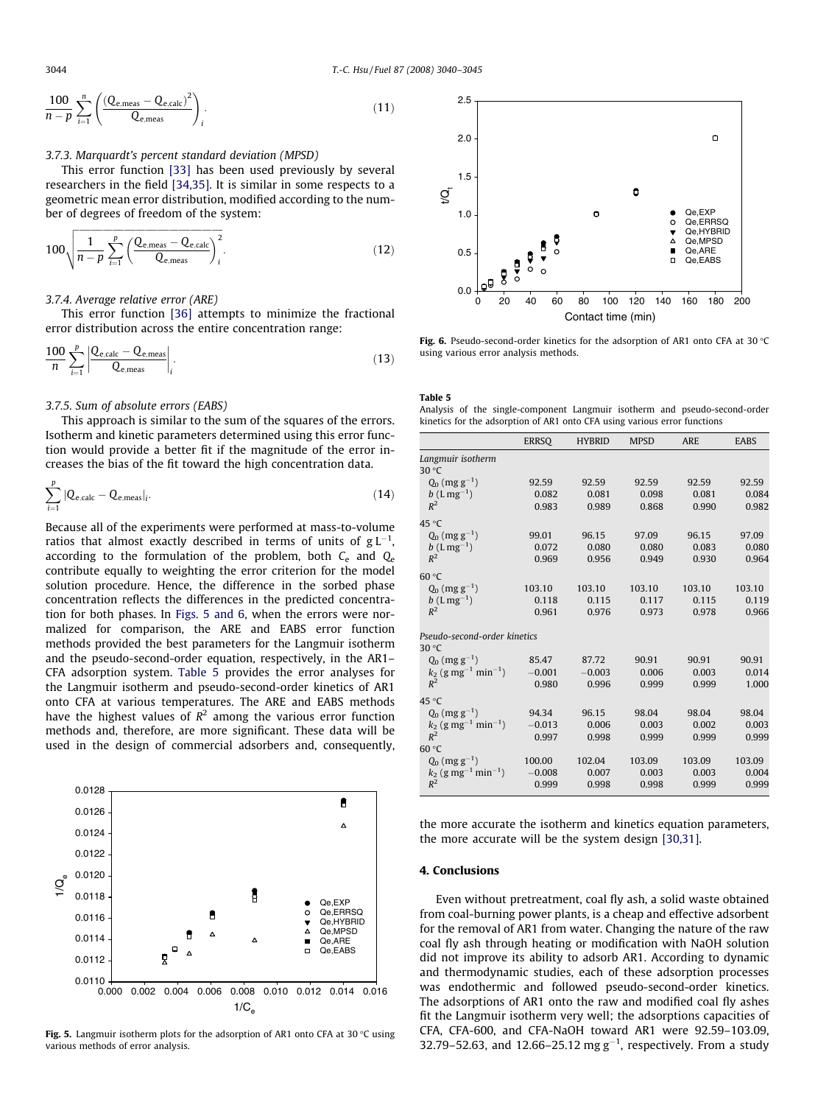$$
\frac{100}{n-p} \sum_{i=1}^{n} \left( \frac{(Q_{e,\text{meas}} - Q_{e,\text{calc}})^2}{Q_{e,\text{meas}}} \right)_i.
$$
 (11)

## 3.7.3. Marquardt's percent standard deviation (MPSD)

This error function [\[33\]](#page-5-0) has been used previously by several researchers in the field [\[34,35\].](#page-5-0) It is similar in some respects to a geometric mean error distribution, modified according to the number of degrees of freedom of the system:

$$
100\sqrt{\frac{1}{n-p}\sum_{i=1}^{p}\left(\frac{Q_{e,\text{meas}}-Q_{e,\text{calc}}}{Q_{e,\text{meas}}}\right)_i^2}.
$$
 (12)

#### 3.7.4. Average relative error (ARE)

This error function [\[36\]](#page-5-0) attempts to minimize the fractional error distribution across the entire concentration range:

$$
\frac{100}{n} \sum_{i=1}^{p} \left| \frac{Q_{\text{e,calc}} - Q_{\text{e,meas}}}{Q_{\text{e,meas}}} \right|_{i}.
$$
\n(13)

## 3.7.5. Sum of absolute errors (EABS)

This approach is similar to the sum of the squares of the errors. Isotherm and kinetic parameters determined using this error function would provide a better fit if the magnitude of the error increases the bias of the fit toward the high concentration data.

$$
\sum_{i=1}^{p} |Q_{e, calc} - Q_{e,meas}|_{i}.
$$
 (14)

Because all of the experiments were performed at mass-to-volume ratios that almost exactly described in terms of units of  $g\, L^{-1},$ according to the formulation of the problem, both  $C_e$  and  $Q_e$ contribute equally to weighting the error criterion for the model solution procedure. Hence, the difference in the sorbed phase concentration reflects the differences in the predicted concentration for both phases. In Figs. 5 and 6, when the errors were normalized for comparison, the ARE and EABS error function methods provided the best parameters for the Langmuir isotherm and the pseudo-second-order equation, respectively, in the AR1– CFA adsorption system. Table 5 provides the error analyses for the Langmuir isotherm and pseudo-second-order kinetics of AR1 onto CFA at various temperatures. The ARE and EABS methods have the highest values of  $R^2$  among the various error function methods and, therefore, are more significant. These data will be used in the design of commercial adsorbers and, consequently,



**Fig. 5.** Langmuir isotherm plots for the adsorption of AR1 onto CFA at 30  $\degree$ C using various methods of error analysis.



**Fig. 6.** Pseudo-second-order kinetics for the adsorption of AR1 onto CFA at 30  $\degree$ C using various error analysis methods.

#### Table 5

Analysis of the single-component Langmuir isotherm and pseudo-second-order kinetics for the adsorption of AR1 onto CFA using various error functions

|                                               | <b>ERRSO</b> | <b>HYBRID</b> | <b>MPSD</b> | <b>ARE</b> | <b>EABS</b> |
|-----------------------------------------------|--------------|---------------|-------------|------------|-------------|
| Langmuir isotherm<br>30 °C                    |              |               |             |            |             |
| $Q_0$ (mg g <sup>-1</sup> )                   | 92.59        | 92.59         | 92.59       | 92.59      | 92.59       |
| $b(Lmg^{-1})$                                 | 0.082        | 0.081         | 0.098       | 0.081      | 0.084       |
| $R^2$                                         | 0.983        | 0.989         | 0.868       | 0.990      | 0.982       |
| 45 °C                                         |              |               |             |            |             |
| $Q_0$ (mg g <sup>-1</sup> )                   | 99.01        | 96.15         | 97.09       | 96.15      | 97.09       |
| $b(L \, mg^{-1})$                             | 0.072        | 0.080         | 0.080       | 0.083      | 0.080       |
| $R^2$                                         | 0.969        | 0.956         | 0.949       | 0.930      | 0.964       |
| 60 °C                                         |              |               |             |            |             |
| $Q_0$ (mg g <sup>-1</sup> )                   | 103.10       | 103.10        | 103.10      | 103.10     | 103.10      |
| $b(Lmg^{-1})$                                 | 0.118        | 0.115         | 0.117       | 0.115      | 0.119       |
| $R^2$                                         | 0.961        | 0.976         | 0.973       | 0.978      | 0.966       |
| Pseudo-second-order kinetics                  |              |               |             |            |             |
| 30 $\degree$ C                                |              |               |             |            |             |
| $Q_0$ (mg g <sup>-1</sup> )                   | 85.47        | 87.72         | 90.91       | 90.91      | 90.91       |
| $k_2$ (g mg <sup>-1</sup> min <sup>-1</sup> ) | $-0.001$     | $-0.003$      | 0.006       | 0.003      | 0.014       |
| $R^2$                                         | 0.980        | 0.996         | 0.999       | 0.999      | 1.000       |
| 45 °C                                         |              |               |             |            |             |
| $Q_0$ (mg g <sup>-1</sup> )                   | 94.34        | 96.15         | 98.04       | 98.04      | 98.04       |
| $k_2$ (g mg <sup>-1</sup> min <sup>-1</sup> ) | $-0.013$     | 0.006         | 0.003       | 0.002      | 0.003       |
| $R^2$                                         | 0.997        | 0.998         | 0.999       | 0.999      | 0.999       |
| 60 °C                                         |              |               |             |            |             |
| $Q_0$ (mg g <sup>-1</sup> )                   | 100.00       | 102.04        | 103.09      | 103.09     | 103.09      |
| $k_2$ (g mg <sup>-1</sup> min <sup>-1</sup> ) | $-0.008$     | 0.007         | 0.003       | 0.003      | 0.004       |
| $R^2$                                         | 0.999        | 0.998         | 0.998       | 0.999      | 0.999       |

the more accurate the isotherm and kinetics equation parameters, the more accurate will be the system design [\[30,31\]](#page-5-0).

## 4. Conclusions

Even without pretreatment, coal fly ash, a solid waste obtained from coal-burning power plants, is a cheap and effective adsorbent for the removal of AR1 from water. Changing the nature of the raw coal fly ash through heating or modification with NaOH solution did not improve its ability to adsorb AR1. According to dynamic and thermodynamic studies, each of these adsorption processes was endothermic and followed pseudo-second-order kinetics. The adsorptions of AR1 onto the raw and modified coal fly ashes fit the Langmuir isotherm very well; the adsorptions capacities of CFA, CFA-600, and CFA-NaOH toward AR1 were 92.59–103.09, 32.79-52.63, and 12.66-25.12 mg  $g^{-1}$ , respectively. From a study